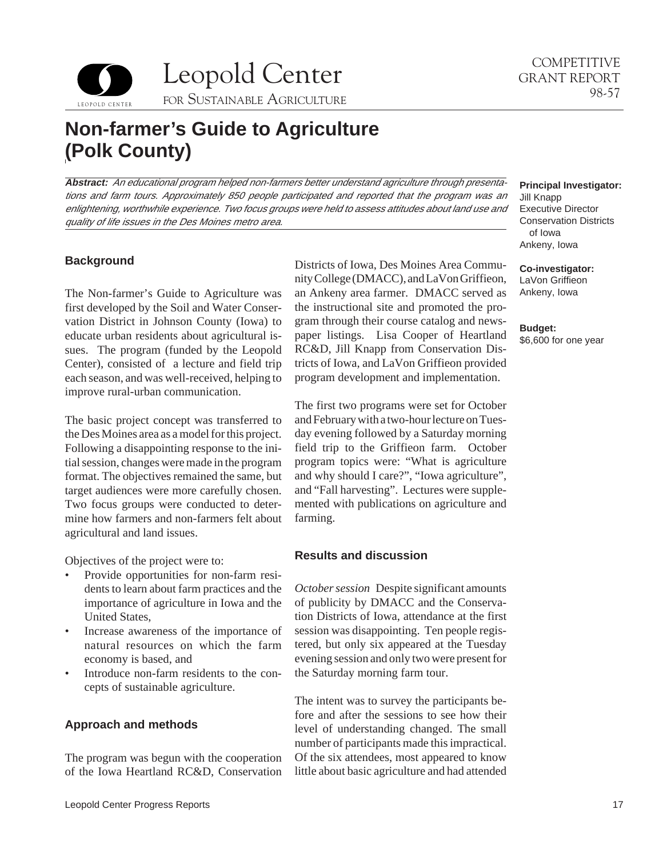



# **Non-farmer's Guide to Agriculture (Polk County)**

**Abstract:** An educational program helped non-farmers better understand agriculture through presentations and farm tours. Approximately 850 people participated and reported that the program was an enlightening, worthwhile experience. Two focus groups were held to assess attitudes about land use and quality of life issues in the Des Moines metro area.

# **Background**

The Non-farmer's Guide to Agriculture was first developed by the Soil and Water Conservation District in Johnson County (Iowa) to educate urban residents about agricultural issues. The program (funded by the Leopold Center), consisted of a lecture and field trip each season, and was well-received, helping to improve rural-urban communication.

The basic project concept was transferred to the Des Moines area as a model for this project. Following a disappointing response to the initial session, changes were made in the program format. The objectives remained the same, but target audiences were more carefully chosen. Two focus groups were conducted to determine how farmers and non-farmers felt about agricultural and land issues.

Objectives of the project were to:

- Provide opportunities for non-farm residents to learn about farm practices and the importance of agriculture in Iowa and the United States,
- Increase awareness of the importance of natural resources on which the farm economy is based, and
- • Introduce non-farm residents to the concepts of sustainable agriculture.

# **Approach and methods**

The program was begun with the cooperation of the Iowa Heartland RC&D, Conservation Districts of Iowa, Des Moines Area Community College (DMACC), and LaVon Griffieon, an Ankeny area farmer. DMACC served as the instructional site and promoted the program through their course catalog and newspaper listings. Lisa Cooper of Heartland RC&D, Jill Knapp from Conservation Districts of Iowa, and LaVon Griffieon provided program development and implementation.

The first two programs were set for October and February with a two-hour lecture on Tuesday evening followed by a Saturday morning field trip to the Griffieon farm. October program topics were: "What is agriculture and why should I care?", "Iowa agriculture", and "Fall harvesting". Lectures were supplemented with publications on agriculture and farming.

## **Results and discussion**

*October session* Despite significant amounts of publicity by DMACC and the Conservation Districts of Iowa, attendance at the first session was disappointing. Ten people registered, but only six appeared at the Tuesday evening session and only two were present for the Saturday morning farm tour.

The intent was to survey the participants before and after the sessions to see how their level of understanding changed. The small number of participants made this impractical. Of the six attendees, most appeared to know little about basic agriculture and had attended

#### **Principal Investigator:**

Jill Knapp Executive Director Conservation Districts of Iowa Ankeny, Iowa

**Co-investigator:**  LaVon Griffieon Ankeny, Iowa

**Budget:** 

\$6,600 for one year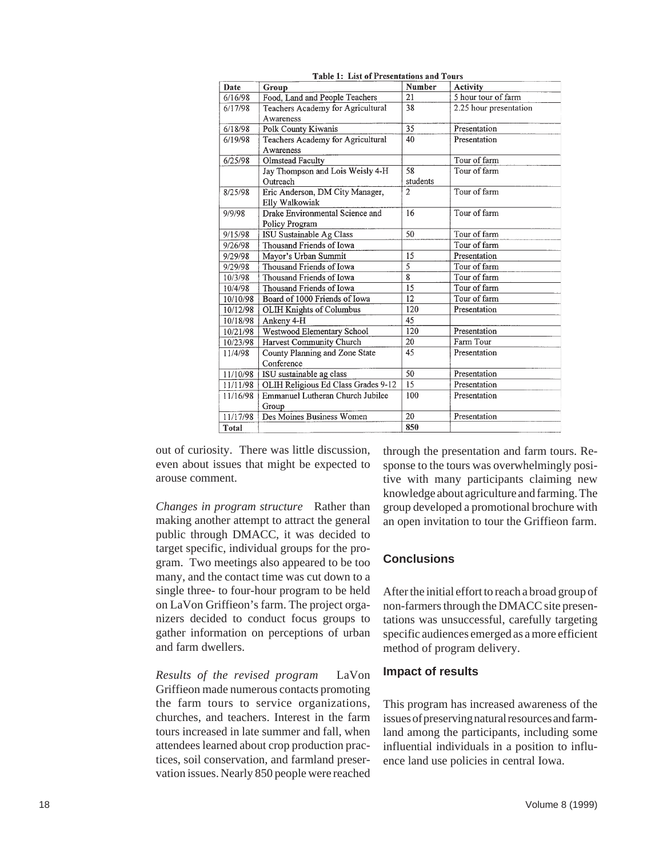| Date     | Group                                | <b>Number</b>   | <b>Activity</b>        |
|----------|--------------------------------------|-----------------|------------------------|
| 6/16/98  | Food, Land and People Teachers       | 21              | 5 hour tour of farm    |
| 6/17/98  | Teachers Academy for Agricultural    | 38              | 2.25 hour presentation |
| 6/18/98  | Awareness                            | $\overline{35}$ | Presentation           |
|          | Polk County Kiwanis                  | 40              | Presentation           |
| 6/19/98  | Teachers Academy for Agricultural    |                 |                        |
| 6/25/98  | Awareness<br><b>Olmstead Faculty</b> |                 | Tour of farm           |
|          | Jay Thompson and Lois Weisly 4-H     | 58              | Tour of farm           |
|          | Outreach                             | students        |                        |
| 8/25/98  | Eric Anderson, DM City Manager,      | $\overline{2}$  | Tour of farm           |
|          | Elly Walkowiak                       |                 |                        |
| 9/9/98   | Drake Environmental Science and      | 16              | Tour of farm           |
|          | <b>Policy Program</b>                |                 |                        |
| 9/15/98  | ISU Sustainable Ag Class             | 50              | Tour of farm           |
| 9/26/98  | Thousand Friends of Iowa             |                 | Tour of farm           |
| 9/29/98  | Mayor's Urban Summit                 | 15              | Presentation           |
| 9/29/98  | Thousand Friends of Iowa             | 5               | Tour of farm           |
| 10/3/98  | Thousand Friends of Iowa             | $\overline{8}$  | Tour of farm           |
| 10/4/98  | Thousand Friends of Iowa             | 15              | Tour of farm           |
| 10/10/98 | Board of 1000 Friends of Iowa        | 12              | Tour of farm           |
| 10/12/98 | <b>OLIH Knights of Columbus</b>      | 120             | Presentation           |
| 10/18/98 | Ankeny 4-H                           | 45              |                        |
| 10/21/98 | Westwood Elementary School           | 120             | Presentation           |
| 10/23/98 | Harvest Community Church             | 20              | Farm Tour              |
| 11/4/98  | County Planning and Zone State       | 45              | Presentation           |
|          | Conference                           |                 |                        |
| 11/10/98 | ISU sustainable ag class             | 50              | Presentation           |
| 11/11/98 | OLIH Religious Ed Class Grades 9-12  | 15              | Presentation           |
| 11/16/98 | Emmanuel Lutheran Church Jubilee     | 100             | Presentation           |
|          | Group                                |                 |                        |
| 11/17/98 | Des Moines Business Women            | 20              | Presentation           |
| Total    |                                      | 850             |                        |

Table 1: List of Presentations and Tours

out of curiosity. There was little discussion, even about issues that might be expected to arouse comment.

*Changes in program structure* Rather than making another attempt to attract the general public through DMACC, it was decided to target specific, individual groups for the program. Two meetings also appeared to be too many, and the contact time was cut down to a single three- to four-hour program to be held on LaVon Griffieon's farm. The project organizers decided to conduct focus groups to gather information on perceptions of urban and farm dwellers.

*Results of the revised program* LaVon Griffieon made numerous contacts promoting the farm tours to service organizations, churches, and teachers. Interest in the farm tours increased in late summer and fall, when attendees learned about crop production practices, soil conservation, and farmland preservation issues. Nearly 850 people were reached

through the presentation and farm tours. Response to the tours was overwhelmingly positive with many participants claiming new knowledge about agriculture and farming. The group developed a promotional brochure with an open invitation to tour the Griffieon farm.

# **Conclusions**

After the initial effort to reach a broad group of non-farmers through the DMACC site presentations was unsuccessful, carefully targeting specific audiences emerged as a more efficient method of program delivery.

### **Impact of results**

This program has increased awareness of the issues of preserving natural resources and farmland among the participants, including some influential individuals in a position to influence land use policies in central Iowa.